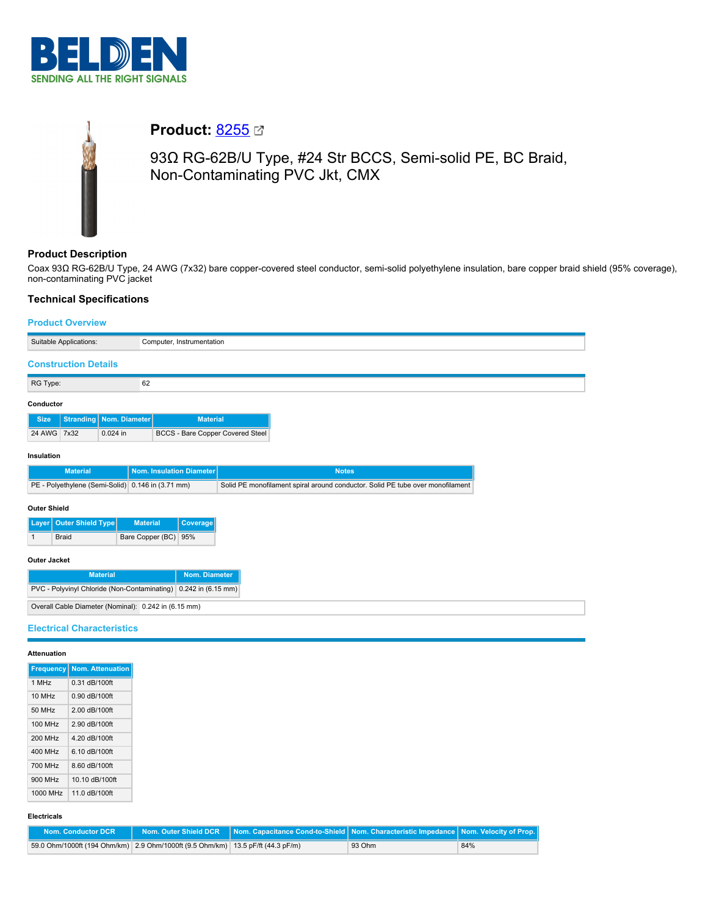



# **Product: [8255](https://catalog.belden.com/index.cfm?event=pd&p=PF_8255&tab=downloads) 2**

93Ω RG-62B/U Type, #24 Str BCCS, Semi-solid PE, BC Braid, Non-Contaminating PVC Jkt, CMX

# **Product Description**

Coax 93Ω RG-62B/U Type, 24 AWG (7x32) bare copper-covered steel conductor, semi-solid polyethylene insulation, bare copper braid shield (95% coverage), non-contaminating PVC jacket

# **Technical Specifications**

# **Product Overview**

| Computer, Instrumentation                            |  |                           |                                                                                |                      |                                         |
|------------------------------------------------------|--|---------------------------|--------------------------------------------------------------------------------|----------------------|-----------------------------------------|
| Suitable Applications:                               |  |                           |                                                                                |                      |                                         |
| <b>Construction Details</b>                          |  |                           |                                                                                |                      |                                         |
| RG Type:                                             |  |                           | 62                                                                             |                      |                                         |
| Conductor                                            |  |                           |                                                                                |                      |                                         |
| <b>Size</b>                                          |  | Stranding   Nom. Diameter |                                                                                | <b>Material</b>      |                                         |
| 24 AWG 7x32                                          |  | $0.024$ in                |                                                                                |                      | <b>BCCS - Bare Copper Covered Steel</b> |
| Insulation                                           |  |                           |                                                                                |                      |                                         |
| <b>Nom. Insulation Diameter</b><br><b>Material</b>   |  |                           | <b>Notes</b>                                                                   |                      |                                         |
| PE - Polyethylene (Semi-Solid) 0.146 in (3.71 mm)    |  |                           | Solid PE monofilament spiral around conductor. Solid PE tube over monofilament |                      |                                         |
| <b>Outer Shield</b>                                  |  |                           |                                                                                |                      |                                         |
| Outer Shield Type<br><b>Material</b><br>Layer        |  |                           |                                                                                | Coverage             |                                         |
| Bare Copper (BC) 95%<br>Braid<br>1                   |  |                           |                                                                                |                      |                                         |
| <b>Outer Jacket</b>                                  |  |                           |                                                                                |                      |                                         |
| Nom. Diameter<br><b>Material</b>                     |  |                           |                                                                                |                      |                                         |
| PVC - Polyvinyl Chloride (Non-Contaminating)         |  |                           |                                                                                | $0.242$ in (6.15 mm) |                                         |
| Overall Cable Diameter (Nominal): 0.242 in (6.15 mm) |  |                           |                                                                                |                      |                                         |
| <b>Electrical Characteristics</b>                    |  |                           |                                                                                |                      |                                         |

# **Attenuation**

| Attenuation        |                              |
|--------------------|------------------------------|
|                    | Frequency   Nom. Attenuation |
| 1 MHz              | 0.31 dB/100ft                |
| 10 MHz             | 0.90 dB/100ft                |
| 50 MHz             | 2.00 dB/100ft                |
| 100 MHz            | 2.90 dB/100ft                |
| 200 MHz            | 4.20 dB/100ft                |
| 400 MHz            | 6.10 dB/100ft                |
| 700 MHz            | 8.60 dB/100ft                |
| 900 MHz            | 10.10 dB/100ft               |
| 1000 MHz           | 11.0 dB/100ft                |
|                    |                              |
| <b>Electricals</b> |                              |
|                    | Maine, Canadication DOD.     |

| Nom. Conductor DCR                                                              |  |        |     |
|---------------------------------------------------------------------------------|--|--------|-----|
| 59.0 Ohm/1000ft (194 Ohm/km) 2.9 Ohm/1000ft (9.5 Ohm/km) 13.5 pF/ft (44.3 pF/m) |  | 93 Ohm | 84% |